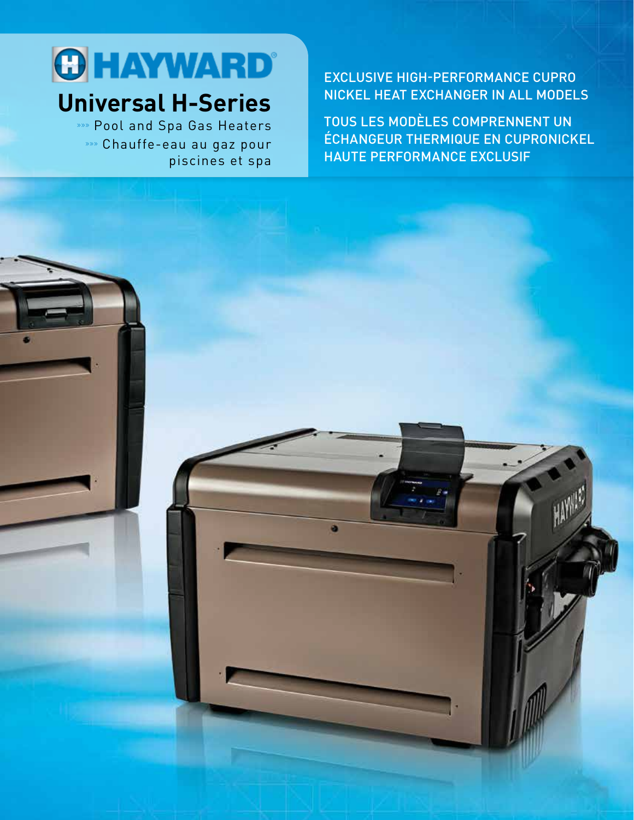

# **Universal H-Series**

»»» Pool and Spa Gas Heaters »»» Chauffe-eau au gaz pour piscines et spa

#### EXCLUSIVE HIGH-PERFORMANCE CUPRO NICKEL HEAT EXCHANGER IN ALL MODELS

TOUS LES MODÈLES COMPRENNENT UN ÉCHANGEUR THERMIQUE EN CUPRONICKEL HAUTE PERFORMANCE EXCLUSIF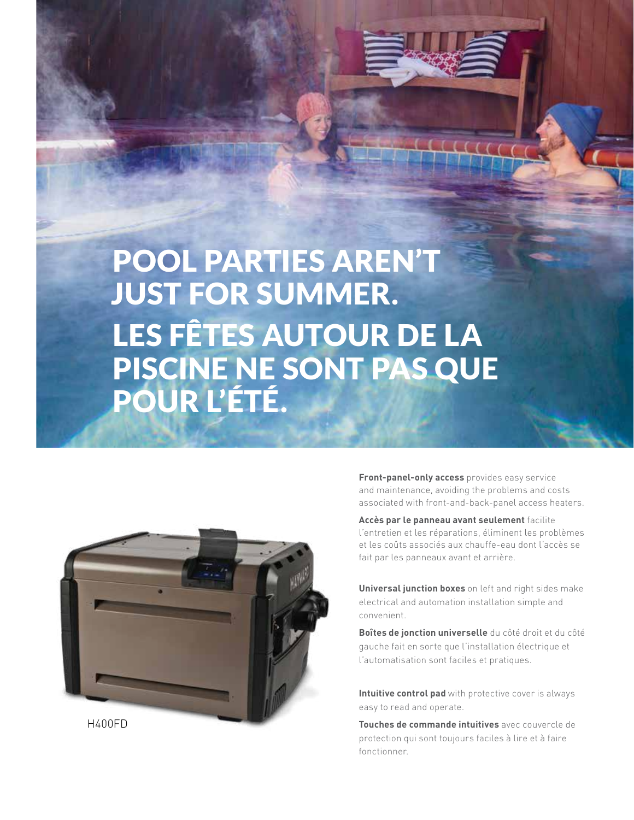

POOL PARTIES AREN'T JUST FOR SUMMER. LES FÊTES AUTOUR DE LA PISCINE NE SONT PAS QUE POUR L'ÉTÉ.



**Front-panel-only access** provides easy service and maintenance, avoiding the problems and costs associated with front-and-back-panel access heaters.

**Accès par le panneau avant seulement** facilite l'entretien et les réparations, éliminent les problèmes et les coûts associés aux chauffe-eau dont l'accès se fait par les panneaux avant et arrière.

**Universal junction boxes** on left and right sides make electrical and automation installation simple and convenient.

**Boîtes de jonction universelle** du côté droit et du côté gauche fait en sorte que l'installation électrique et l'automatisation sont faciles et pratiques.

**Intuitive control pad** with protective cover is always easy to read and operate.

**Touches de commande intuitives** avec couvercle de protection qui sont toujours faciles à lire et à faire fonctionner.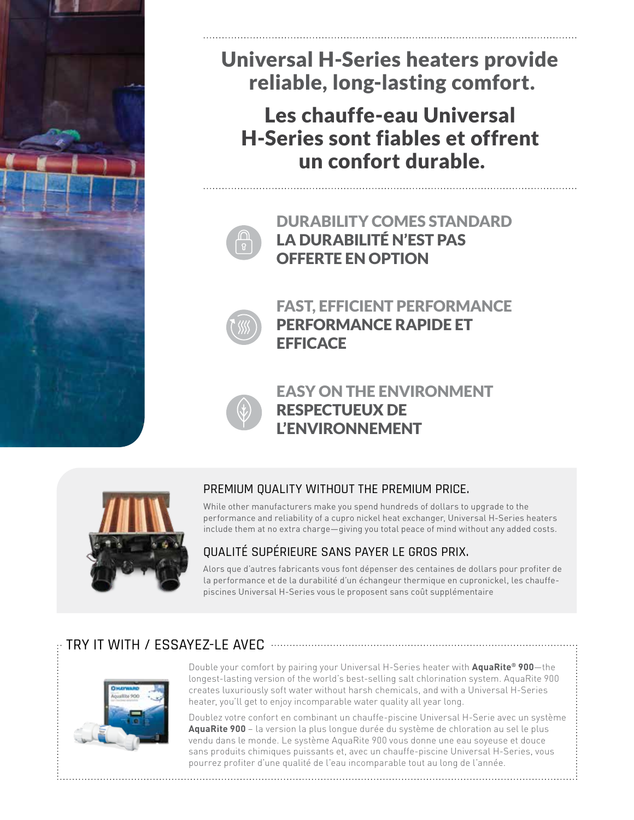

Universal H-Series heaters provide reliable, long-lasting comfort.

Les chauffe-eau Universal H-Series sont fiables et offrent un confort durable.



DURABILITY COMES STANDARD LA DURABILITÉ N'EST PAS OFFERTE EN OPTION



FAST, EFFICIENT PERFORMANCE PERFORMANCE RAPIDE ET **EFFICACE** 



EASY ON THE ENVIRONMENT RESPECTUEUX DE L'ENVIRONNEMENT



#### PREMIUM QUALITY WITHOUT THE PREMIUM PRICE.

While other manufacturers make you spend hundreds of dollars to upgrade to the performance and reliability of a cupro nickel heat exchanger, Universal H-Series heaters include them at no extra charge—giving you total peace of mind without any added costs.

#### QUALITÉ SUPÉRIEURE SANS PAYER LE GROS PRIX.

Alors que d'autres fabricants vous font dépenser des centaines de dollars pour profiter de la performance et de la durabilité d'un échangeur thermique en cupronickel, les chauffepiscines Universal H-Series vous le proposent sans coût supplémentaire

## TRY IT WITH / ESSAYEZ-LE AVEC



Double your comfort by pairing your Universal H-Series heater with **AquaRite® 900**—the longest-lasting version of the world's best-selling salt chlorination system. AquaRite 900 creates luxuriously soft water without harsh chemicals, and with a Universal H-Series heater, you'll get to enjoy incomparable water quality all year long.

Doublez votre confort en combinant un chauffe-piscine Universal H-Serie avec un système **AquaRite 900** – la version la plus longue durée du système de chloration au sel le plus vendu dans le monde. Le système AquaRite 900 vous donne une eau soyeuse et douce sans produits chimiques puissants et, avec un chauffe-piscine Universal H-Series, vous pourrez profiter d'une qualité de l'eau incomparable tout au long de l'année.